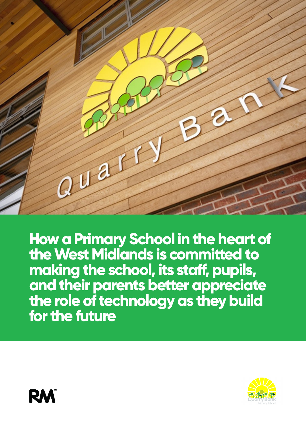

**How a Primary School in the heart of the West Midlands is committed to making the school, its staff, pupils, and their parents better appreciate the role of technology as they build for the future**



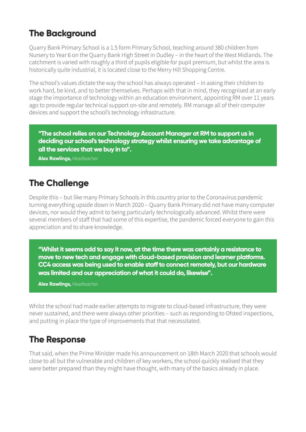# **The Background**

Quarry Bank Primary School is a 1.5 form Primary School, teaching around 380 children from Nursery to Year 6 on the Quarry Bank High Street in Dudley – in the heart of the West Midlands. The catchment is varied with roughly a third of pupils eligible for pupil premium, but whilst the area is historically quite industrial, it is located close to the Merry Hill Shopping Centre.

The school's values dictate the way the school has always operated – in asking their children to work hard, be kind, and to better themselves. Perhaps with that in mind, they recognised at an early stage the importance of technology within an education environment, appointing RM over 11 years ago to provide regular technical support on-site and remotely. RM manage all of their computer devices and support the school's technology infrastructure.

**"The school relies on our Technology Account Manager at RM to support us in deciding our school's technology strategy whilst ensuring we take advantage of all the services that we buy in to".** 

**Alex Rawlings,** Headteacher

### **The Challenge**

Despite this – but like many Primary Schools in this country prior to the Coronavirus pandemic turning everything upside down in March 2020 – Quarry Bank Primary did not have many computer devices, nor would they admit to being particularly technologically advanced. Whilst there were several members of staff that had some of this expertise, the pandemic forced everyone to gain this appreciation and to share knowledge.

**"Whilst it seems odd to say it now, at the time there was certainly a resistance to move to new tech and engage with cloud-based provision and learner platforms. CC4 access was being used to enable staff to connect remotely, but our hardware was limited and our appreciation of what it could do, likewise".**

**Alex Rawlings,** Headteacher

Whilst the school had made earlier attempts to migrate to cloud-based infrastructure, they were never sustained, and there were always other priorities – such as responding to Ofsted inspections, and putting in place the type of improvements that that necessitated.

### **The Response**

That said, when the Prime Minister made his announcement on 18th March 2020 that schools would close to all but the vulnerable and children of key workers, the school quickly realised that they were better prepared than they might have thought, with many of the basics already in place.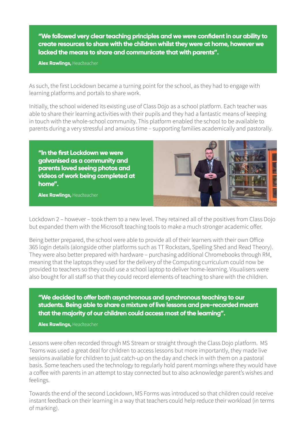**"We followed very clear teaching principles and we were confident in our ability to create resources to share with the children whilst they were at home, however we lacked the means to share and communicate that with parents".**

**Alex Rawlings,** Headteacher

As such, the first Lockdown became a turning point for the school, as they had to engage with learning platforms and portals to share work.

Initially, the school widened its existing use of Class Dojo as a school platform. Each teacher was able to share their learning activities with their pupils and they had a fantastic means of keeping in touch with the whole-school community. This platform enabled the school to be available to parents during a very stressful and anxious time – supporting families academically and pastorally.

**"In the first Lockdown we were galvanised as a community and parents loved seeing photos and videos of work being completed at home".**

**Alex Rawlings,** Headteacher



Lockdown 2 – however – took them to a new level. They retained all of the positives from Class Dojo but expanded them with the Microsoft teaching tools to make a much stronger academic offer.

Being better prepared, the school were able to provide all of their learners with their own Office 365 login details (alongside other platforms such as TT Rockstars, Spelling Shed and Read Theory). They were also better prepared with hardware – purchasing additional Chromebooks through RM, meaning that the laptops they used for the delivery of the Computing curriculum could now be provided to teachers so they could use a school laptop to deliver home-learning. Visualisers were also bought for all staff so that they could record elements of teaching to share with the children.

**"We decided to offer both asynchronous and synchronous teaching to our students. Being able to share a mixture of live lessons and pre-recorded meant that the majority of our children could access most of the learning".**

**Alex Rawlings,** Headteacher

Lessons were often recorded through MS Stream or straight through the Class Dojo platform. MS Teams was used a great deal for children to access lessons but more importantly, they made live sessions available for children to just catch-up on the day and check in with them on a pastoral basis. Some teachers used the technology to regularly hold parent mornings where they would have a coffee with parents in an attempt to stay connected but to also acknowledge parent's wishes and feelings.

Towards the end of the second Lockdown, MS Forms was introduced so that children could receive instant feedback on their learning in a way that teachers could help reduce their workload (in terms of marking).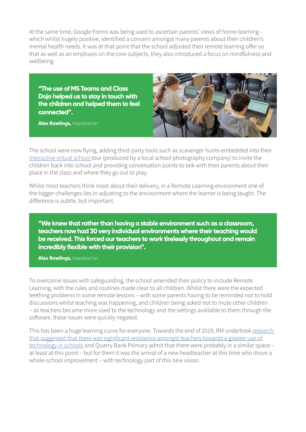At the same time, Google Forms was being used to ascertain parents' views of home-learning – which whilst hugely positive, identified a concern amongst many parents about their children's mental health needs. It was at that point that the school adjusted their remote learning offer so that as well as an emphasis on the core subjects, they also introduced a focus on mindfulness and wellbeing.

**"The use of MS Teams and Class Dojo helped us to stay in touch with the children and helped them to feel connected".**

**Alex Rawlings,** Headteacher



The school were now flying, adding third-party tools such as scavenger hunts embedded into their [interactive virtual school t](https://aperture360.s3.amazonaws.com/tours/QUARRY-BANK/index.htm)our (produced by a local school photography company) to invite the children back into school and providing conversation points to talk with their parents about their place in the class and where they go out to play.

Whilst most teachers think most about their delivery, in a Remote Learning environment one of the bigger challenges lies in adjusting to the environment where the learner is being taught. The difference is subtle, but important.

**"We knew that rather than having a stable environment such as a classroom, teachers now had 30 very individual environments where their teaching would be received. This forced our teachers to work tirelessly throughout and remain incredibly flexible with their provision".**

**Alex Rawlings,** Headteacher

To overcome issues with safeguarding, the school amended their policy to include Remote Learning, with the rules and routines made clear to all children. Whilst there were the expected teething problems in some remote lessons – with some parents having to be reminded not to hold discussions whilst teaching was happening, and children being asked not to mute other children – as teachers became more used to the technology and the settings available to them through the software, these issues were quickly negated.

This has been a huge learning curve for everyone. Towards the end of 2019, RM undertook [research](https://www.rm.com/-/media/Images/Blog/2020/BETT-2020-Research-Infographic-FINAL.png?la=en&hash=94F8430AEBD3FB227308F292034139B5332781C0)  [that suggested that there was significant resistance amongst teachers towards a greater use of](https://www.rm.com/-/media/Images/Blog/2020/BETT-2020-Research-Infographic-FINAL.png?la=en&hash=94F8430AEBD3FB227308F292034139B5332781C0)  [technology in schools](https://www.rm.com/-/media/Images/Blog/2020/BETT-2020-Research-Infographic-FINAL.png?la=en&hash=94F8430AEBD3FB227308F292034139B5332781C0) and Quarry Bank Primary admit that there were probably in a similar space at least at this point – but for them it was the arrival of a new headteacher at this time who drove a whole-school improvement – with technology part of this new vision.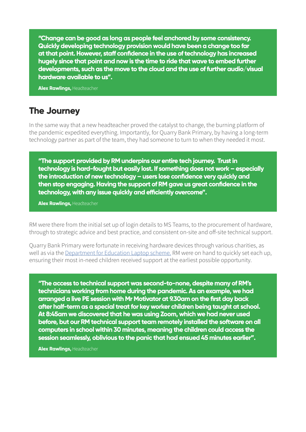**"Change can be good as long as people feel anchored by some consistency. Quickly developing technology provision would have been a change too far at that point. However, staff confidence in the use of technology has increased hugely since that point and now is the time to ride that wave to embed further developments, such as the move to the cloud and the use of further audio/visual hardware available to us".**

**Alex Rawlings,** Headteacher

#### **The Journey**

In the same way that a new headteacher proved the catalyst to change, the burning platform of the pandemic expedited everything. Importantly, for Quarry Bank Primary, by having a long-term technology partner as part of the team, they had someone to turn to when they needed it most.

**"The support provided by RM underpins our entire tech journey. Trust in technology is hard-fought but easily lost. If something does not work – especially the introduction of new technology – users lose confidence very quickly and then stop engaging. Having the support of RM gave us great confidence in the technology, with any issue quickly and efficiently overcome".**

**Alex Rawlings,** Headteacher

RM were there from the initial set up of login details to MS Teams, to the procurement of hardware, through to strategic advice and best practice, and consistent on-site and off-site technical support.

Quarry Bank Primary were fortunate in receiving hardware devices through various charities, as well as via the [Department for Education Laptop scheme.](https://www.gov.uk/guidance/get-laptops-and-tablets-for-children-who-cannot-attend-school-due-to-coronavirus-covid-19) RM were on hand to quickly set each up, ensuring their most in-need children received support at the earliest possible opportunity.

**"The access to technical support was second-to-none, despite many of RM's technicians working from home during the pandemic. As an example, we had arranged a live PE session with Mr Motivator at 9.30am on the first day back after half-term as a special treat for key worker children being taught at school. At 8:45am we discovered that he was using Zoom, which we had never used before, but our RM technical support team remotely installed the software on all computers in school within 30 minutes, meaning the children could access the session seamlessly, oblivious to the panic that had ensued 45 minutes earlier".**

**Alex Rawlings,** Headteacher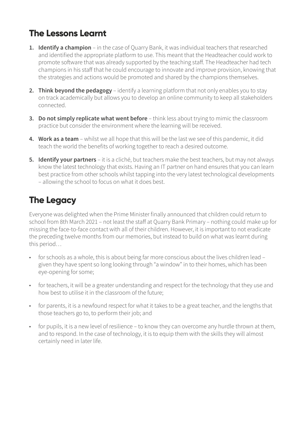# **The Lessons Learnt**

- 1. **Identify a champion** in the case of Quarry Bank, it was individual teachers that researched and identified the appropriate platform to use. This meant that the Headteacher could work to promote software that was already supported by the teaching staff. The Headteacher had tech champions in his staff that he could encourage to innovate and improve provision, knowing that the strategies and actions would be promoted and shared by the champions themselves.
- **2. Think beyond the pedagogy** identify a learning platform that not only enables you to stay on track academically but allows you to develop an online community to keep all stakeholders connected.
- **3. Do not simply replicate what went before** think less about trying to mimic the classroom practice but consider the environment where the learning will be received.
- **4. Work as a team** whilst we all hope that this will be the last we see of this pandemic, it did teach the world the benefits of working together to reach a desired outcome.
- **5. Identify your partners**  it is a cliché, but teachers make the best teachers, but may not always know the latest technology that exists. Having an IT partner on hand ensures that you can learn best practice from other schools whilst tapping into the very latest technological developments – allowing the school to focus on what it does best.

# **The Legacy**

Everyone was delighted when the Prime Minister finally announced that children could return to school from 8th March 2021 – not least the staff at Quarry Bank Primary – nothing could make up for missing the face-to-face contact with all of their children. However, it is important to not eradicate the preceding twelve months from our memories, but instead to build on what was learnt during this period…

- for schools as a whole, this is about being far more conscious about the lives children lead given they have spent so long looking through "a window" in to their homes, which has been eye-opening for some;
- for teachers, it will be a greater understanding and respect for the technology that they use and how best to utilise it in the classroom of the future;
- for parents, it is a newfound respect for what it takes to be a great teacher, and the lengths that those teachers go to, to perform their job; and
- for pupils, it is a new level of resilience to know they can overcome any hurdle thrown at them, and to respond. In the case of technology, it is to equip them with the skills they will almost certainly need in later life.